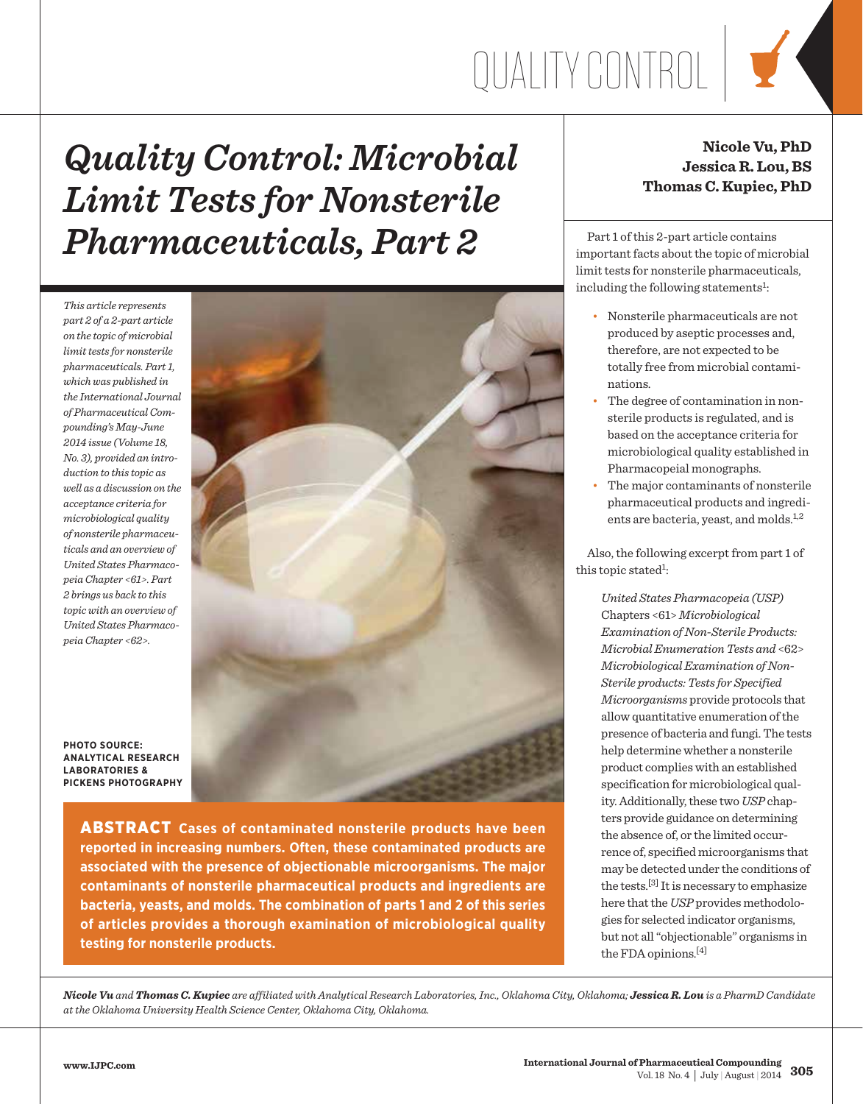# Quality Control

### *Quality Control: Microbial Limit Tests for Nonsterile Pharmaceuticals, Part 2*

*This article represents part 2 of a 2-part article on the topic of microbial limit tests for nonsterile pharmaceuticals. Part 1, which was published in the International Journal of Pharmaceutical Compounding's May-June 2014 issue (Volume 18, No. 3), provided an introduction to this topic as well as a discussion on the acceptance criteria for microbiological quality of nonsterile pharmaceuticals and an overview of United States Pharmacopeia Chapter <61>. Part 2 brings us back to this topic with an overview of United States Pharmacopeia Chapter <62>.*



**PHOTO SOURCE: Analytical Research Laboratories & Pickens Photography**

> **ABSTRACT** Cases of contaminated nonsterile products have been **reported in increasing numbers. Often, these contaminated products are associated with the presence of objectionable microorganisms. The major contaminants of nonsterile pharmaceutical products and ingredients are bacteria, yeasts, and molds. The combination of parts 1 and 2 of this series of articles provides a thorough examination of microbiological quality testing for nonsterile products.**

#### **Nicole Vu, PhD Jessica R. Lou, BS Thomas C. Kupiec, PhD**

 Part 1 of this 2-part article contains important facts about the topic of microbial limit tests for nonsterile pharmaceuticals, including the following statements<sup>1</sup>:

- Nonsterile pharmaceuticals are not produced by aseptic processes and, therefore, are not expected to be totally free from microbial contaminations.
- The degree of contamination in nonsterile products is regulated, and is based on the acceptance criteria for microbiological quality established in Pharmacopeial monographs.
- The major contaminants of nonsterile pharmaceutical products and ingredients are bacteria, yeast, and molds.<sup>1,2</sup>

 Also, the following excerpt from part 1 of this topic stated<sup>1</sup>:

> *United States Pharmacopeia (USP)*  Chapters <61> *Microbiological Examination of Non-Sterile Products: Microbial Enumeration Tests and* <62> *Microbiological Examination of Non-Sterile products: Tests for Specified Microorganisms* provide protocols that allow quantitative enumeration of the presence of bacteria and fungi. The tests help determine whether a nonsterile product complies with an established specification for microbiological quality. Additionally, these two *USP* chapters provide guidance on determining the absence of, or the limited occurrence of, specified microorganisms that may be detected under the conditions of the tests.[3] It is necessary to emphasize here that the *USP* provides methodologies for selected indicator organisms, but not all "objectionable" organisms in the FDA opinions.[4]

*Nicole Vu and Thomas C. Kupiec are affiliated with Analytical Research Laboratories, Inc., Oklahoma City, Oklahoma; Jessica R. Lou is a PharmD Candidate at the Oklahoma University Health Science Center, Oklahoma City, Oklahoma.*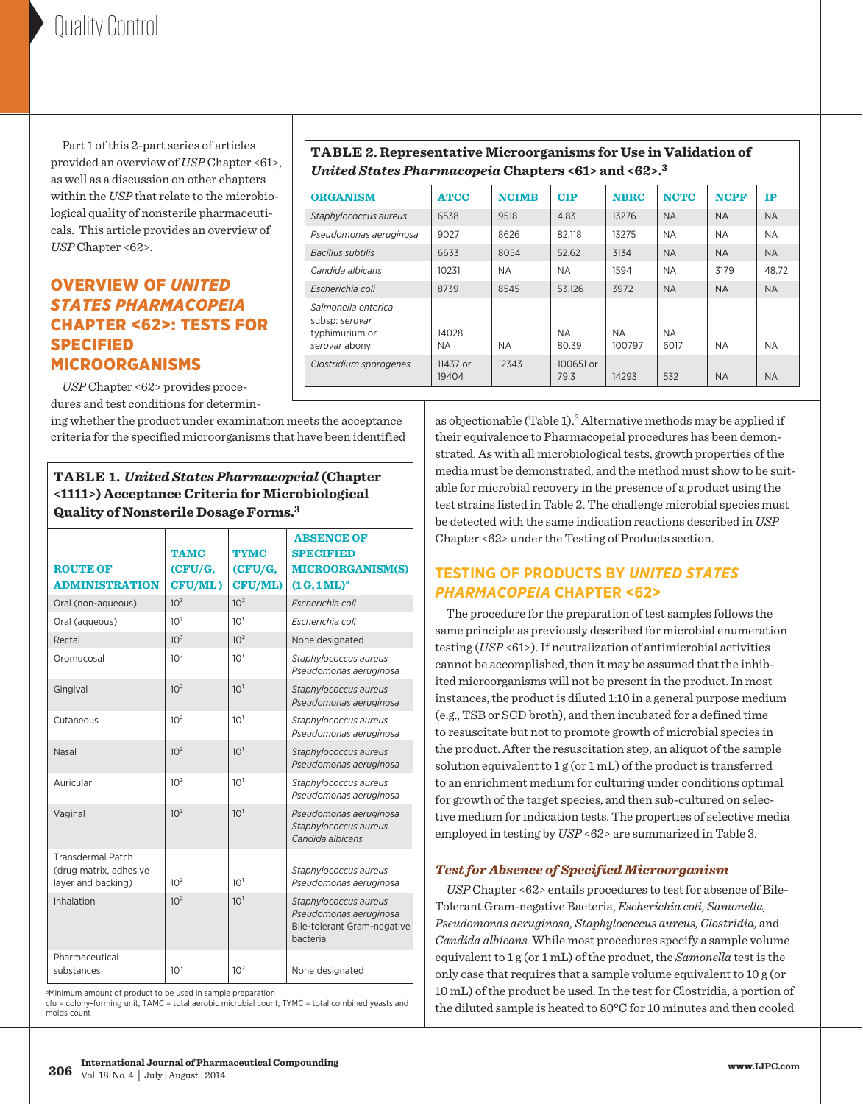Part 1 of this 2-part series of articles provided an overview of *USP* Chapter <61>, as well as a discussion on other chapters within the *USP* that relate to the microbiological quality of nonsterile pharmaceuticals. This article provides an overview of *USP* Chapter <62>.

#### Overview of *United States Pharmacopeia* Chapter <62>: Tests for Specified Microorganisms

 *USP* Chapter <62> provides procedures and test conditions for determin-

ing whether the product under examination meets the acceptance criteria for the specified microorganisms that have been identified

**Table 1.** *United States Pharmacopeial* **(Chapter <1111>) Acceptance Criteria for Microbiological Quality of Nonsterile Dosage Forms.3**

| <b>ROUTE OF</b>                                                          | <b>TAMC</b><br>CFU/G, | <b>TYMC</b><br>(CFU/G, | <b>ABSENCE OF</b><br><b>SPECIFIED</b><br><b>MICROORGANISM(S)</b>                                  |
|--------------------------------------------------------------------------|-----------------------|------------------------|---------------------------------------------------------------------------------------------------|
| <b>ADMINISTRATION</b>                                                    | CFU/ML)               | CFU/ML)                | $(1 G, 1 M L)^a$                                                                                  |
| Oral (non-aqueous)                                                       | 10 <sup>3</sup>       | 10 <sup>2</sup>        | Escherichia coli                                                                                  |
| Oral (aqueous)                                                           | 10 <sup>2</sup>       | 10 <sup>1</sup>        | Escherichia coli                                                                                  |
| Rectal                                                                   | 10 <sup>3</sup>       | 10 <sup>2</sup>        | None designated                                                                                   |
| Oromucosal                                                               | 10 <sup>2</sup>       | 10 <sup>1</sup>        | Staphylococcus aureus<br>Pseudomonas aeruginosa                                                   |
| Gingival                                                                 | 10 <sup>2</sup>       | 10 <sup>1</sup>        | Staphylococcus aureus<br>Pseudomonas aeruginosa                                                   |
| Cutaneous                                                                | 10 <sup>2</sup>       | 10 <sup>1</sup>        | Staphylococcus aureus<br>Pseudomonas aeruginosa                                                   |
| Nasal                                                                    | 10 <sup>2</sup>       | 10 <sup>1</sup>        | Staphylococcus aureus<br>Pseudomonas aeruginosa                                                   |
| Auricular                                                                | 10 <sup>2</sup>       | 10 <sup>1</sup>        | Staphylococcus aureus<br>Pseudomonas aeruginosa                                                   |
| Vaginal                                                                  | 10 <sup>2</sup>       | 10 <sup>1</sup>        | Pseudomonas aeruginosa<br>Staphylococcus aureus<br>Candida albicans                               |
| <b>Transdermal Patch</b><br>(drug matrix, adhesive<br>layer and backing) | 10 <sup>2</sup>       | 10 <sup>1</sup>        | Staphylococcus aureus<br>Pseudomonas aeruginosa                                                   |
| Inhalation                                                               | 10 <sup>2</sup>       | 10 <sup>1</sup>        | Staphylococcus aureus<br>Pseudomonas aeruginosa<br><b>Bile-tolerant Gram-negative</b><br>bacteria |
| Pharmaceutical<br>substances                                             | 10 <sup>3</sup>       | 10 <sup>2</sup>        | None designated                                                                                   |

<sup>a</sup>Minimum amount of product to be used in sample preparation

cfu = colony-forming unit; TAMC = total aerobic microbial count; TYMC = total combined yeasts and molds count

#### **Table 2. Representative Microorganisms for Use in Validation of**  *United States Pharmacopeia* **Chapters <61> and <62>.3**

| <b>ORGANISM</b>                                                          | <b>ATCC</b>       | <b>NCIMB</b> | <b>CIP</b>         | <b>NBRC</b>         | <b>NCTC</b>       | <b>NCPF</b> | $_{\rm IP}$ |
|--------------------------------------------------------------------------|-------------------|--------------|--------------------|---------------------|-------------------|-------------|-------------|
| Staphylococcus aureus                                                    | 6538              | 9518         | 4.83               | 13276               | <b>NA</b>         | <b>NA</b>   | <b>NA</b>   |
| Pseudomonas aeruginosa                                                   | 9027              | 8626         | 82.118             | 13275               | <b>NA</b>         | <b>NA</b>   | <b>NA</b>   |
| <b>Bacillus subtilis</b>                                                 | 6633              | 8054         | 52.62              | 3134                | <b>NA</b>         | <b>NA</b>   | <b>NA</b>   |
| Candida albicans                                                         | 10231             | <b>NA</b>    | <b>NA</b>          | 1594                | <b>NA</b>         | 3179        | 48.72       |
| Escherichia coli                                                         | 8739              | 8545         | 53.126             | 3972                | <b>NA</b>         | <b>NA</b>   | <b>NA</b>   |
| Salmonella enterica<br>subsp: serovar<br>typhimurium or<br>serovar abony | 14028<br>ΝA       | <b>NA</b>    | <b>NA</b><br>80.39 | <b>NA</b><br>100797 | <b>NA</b><br>6017 | <b>NA</b>   | <b>NA</b>   |
| Clostridium sporogenes                                                   | 11437 or<br>19404 | 12343        | 100651 or<br>79.3  | 14293               | 532               | <b>NA</b>   | <b>NA</b>   |

as objectionable (Table 1).3 Alternative methods may be applied if their equivalence to Pharmacopeial procedures has been demonstrated. As with all microbiological tests, growth properties of the media must be demonstrated, and the method must show to be suitable for microbial recovery in the presence of a product using the test strains listed in Table 2. The challenge microbial species must be detected with the same indication reactions described in *USP* Chapter <62> under the Testing of Products section.

#### **Testing of Products by** *United States Pharmacopeia* **Chapter <62>**

 The procedure for the preparation of test samples follows the same principle as previously described for microbial enumeration testing (*USP* <61>). If neutralization of antimicrobial activities cannot be accomplished, then it may be assumed that the inhibited microorganisms will not be present in the product. In most instances, the product is diluted 1:10 in a general purpose medium (e.g., TSB or SCD broth), and then incubated for a defined time to resuscitate but not to promote growth of microbial species in the product. After the resuscitation step, an aliquot of the sample solution equivalent to 1 g (or 1 mL) of the product is transferred to an enrichment medium for culturing under conditions optimal for growth of the target species, and then sub-cultured on selective medium for indication tests. The properties of selective media employed in testing by *USP* <62> are summarized in Table 3.

#### *Test for Absence of Specified Microorganism*

 *USP* Chapter <62> entails procedures to test for absence of Bile-Tolerant Gram-negative Bacteria, *Escherichia coli, Samonella, Pseudomonas aeruginosa, Staphylococcus aureus, Clostridia,* and *Candida albicans.* While most procedures specify a sample volume equivalent to 1 g (or 1 mL) of the product, the *Samonella* test is the only case that requires that a sample volume equivalent to 10 g (or 10 mL) of the product be used. In the test for Clostridia, a portion of the diluted sample is heated to 80°C for 10 minutes and then cooled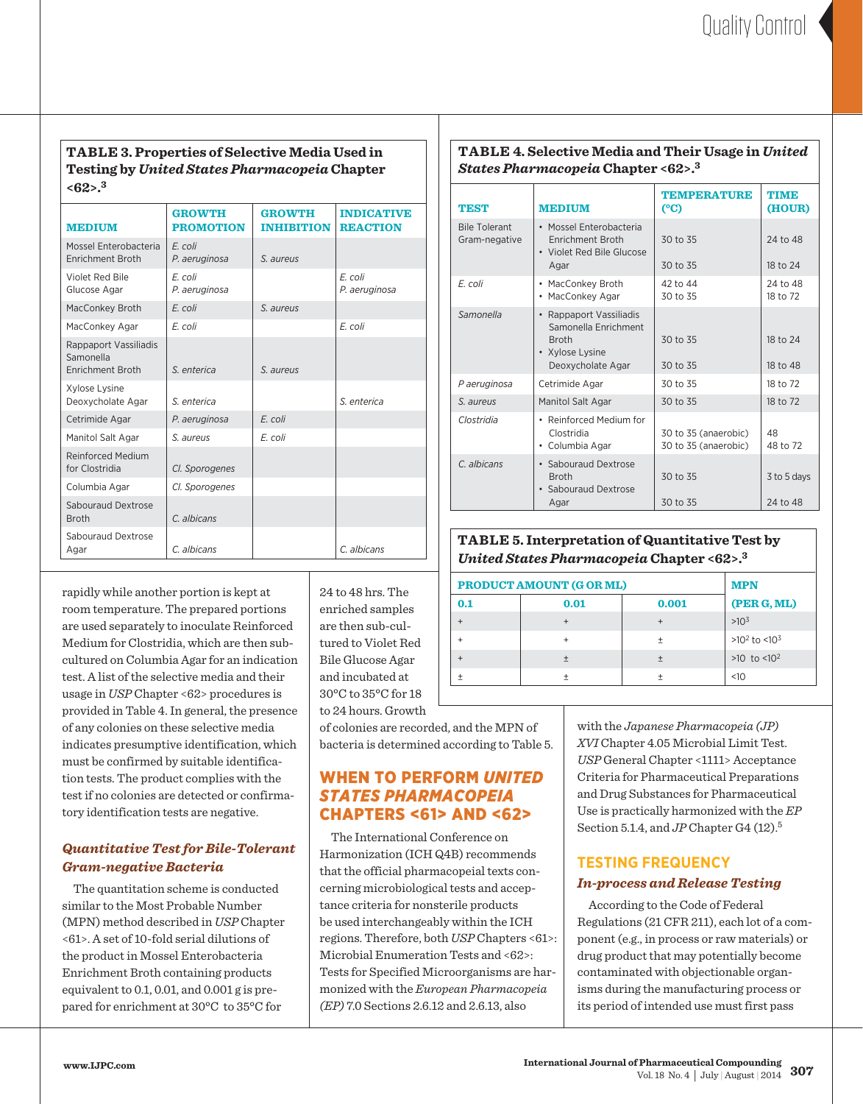#### **Table 3. Properties of Selective Media Used in Testing by** *United States Pharmacopeia* **Chapter <62>.3**

| <b>MEDIUM</b>                                          | <b>GROWTH</b><br><b>PROMOTION</b> | <b>GROWTH</b><br><b>INHIBITION</b> | <b>INDICATIVE</b><br><b>REACTION</b> |
|--------------------------------------------------------|-----------------------------------|------------------------------------|--------------------------------------|
| Mossel Enterobacteria<br>Enrichment Broth              | E. coli<br>P. aeruginosa          | S. aureus                          |                                      |
| Violet Red Bile<br>Glucose Agar                        | E. coli<br>P. aeruginosa          |                                    | E. coli<br>P. aeruginosa             |
| MacConkey Broth                                        | E. coli                           | S. aureus                          |                                      |
| MacConkey Agar                                         | E. coli                           |                                    | E. coli                              |
| Rappaport Vassiliadis<br>Samonella<br>Enrichment Broth | S. enterica                       | S. aureus                          |                                      |
| Xylose Lysine<br>Deoxycholate Agar                     | S. enterica                       |                                    | S. enterica                          |
| Cetrimide Agar                                         | P. aeruginosa                     | E. coli                            |                                      |
| Manitol Salt Agar                                      | S. aureus                         | E. coli                            |                                      |
| Reinforced Medium<br>for Clostridia                    | Cl. Sporogenes                    |                                    |                                      |
| Columbia Agar                                          | Cl. Sporogenes                    |                                    |                                      |
| Sabouraud Dextrose<br><b>Broth</b>                     | C. albicans                       |                                    |                                      |
| Sabouraud Dextrose<br>Agar                             | C. albicans                       |                                    | C. albicans                          |

rapidly while another portion is kept at room temperature. The prepared portions are used separately to inoculate Reinforced Medium for Clostridia, which are then subcultured on Columbia Agar for an indication test. A list of the selective media and their usage in *USP* Chapter <62> procedures is provided in Table 4. In general, the presence of any colonies on these selective media indicates presumptive identification, which must be confirmed by suitable identification tests. The product complies with the test if no colonies are detected or confirmatory identification tests are negative.

#### *Quantitative Test for Bile-Tolerant Gram-negative Bacteria*

 The quantitation scheme is conducted similar to the Most Probable Number (MPN) method described in *USP* Chapter <61>. A set of 10-fold serial dilutions of the product in Mossel Enterobacteria Enrichment Broth containing products equivalent to 0.1, 0.01, and 0.001 g is prepared for enrichment at 30°C to 35°C for

24 to 48 hrs. The enriched samples are then sub-cultured to Violet Red Bile Glucose Agar and incubated at 30°C to 35°C for 18 to 24 hours. Growth

of colonies are recorded, and the MPN of bacteria is determined according to Table 5.

#### When to Perform *United States Pharmacopeia*  Chapters <61> and <62>

 The International Conference on Harmonization (ICH Q4B) recommends that the official pharmacopeial texts concerning microbiological tests and acceptance criteria for nonsterile products be used interchangeably within the ICH regions. Therefore, both *USP* Chapters <61>: Microbial Enumeration Tests and <62>: Tests for Specified Microorganisms are harmonized with the *European Pharmacopeia (EP)* 7.0 Sections 2.6.12 and 2.6.13, also

#### **Table 4. Selective Media and Their Usage in** *United States Pharmacopeia* **Chapter <62>.3**

| <b>TEST</b>                           | <b>MEDIUM</b>                                                                                                      | <b>TEMPERATURE</b><br>(° <sub>C</sub> )      | <b>TIME</b><br>(HOUR) |
|---------------------------------------|--------------------------------------------------------------------------------------------------------------------|----------------------------------------------|-----------------------|
| <b>Bile Tolerant</b><br>Gram-negative | · Mossel Enterobacteria<br><b>Enrichment Broth</b><br>• Violet Red Bile Glucose<br>Agar                            | 30 to 35<br>30 to 35                         | 24 to 48<br>18 to 24  |
| E. coli                               | MacConkey Broth<br>$\bullet$<br>MacConkey Agar<br>٠                                                                | 42 to 44<br>30 to 35                         | 24 to 48<br>18 to 72  |
| Samonella                             | Rappaport Vassiliadis<br>$\bullet$<br>Samonella Enrichment<br><b>Broth</b><br>• Xylose Lysine<br>Deoxycholate Agar | 30 to 35<br>30 to 35                         | 18 to 24<br>18 to 48  |
| P aeruginosa                          | Cetrimide Agar                                                                                                     | 30 to 35                                     | 18 to 72              |
| S. aureus                             | Manitol Salt Agar                                                                                                  | 30 to 35                                     | 18 to 72              |
| Clostridia                            | • Reinforced Medium for<br>Clostridia<br>Columbia Agar<br>۰                                                        | 30 to 35 (anaerobic)<br>30 to 35 (anaerobic) | 48<br>48 to 72        |
| C albicans                            | · Sabouraud Dextrose<br><b>Broth</b><br>Sabouraud Dextrose<br>$\bullet$                                            | 30 to 35                                     | 3 to 5 days           |
|                                       | Agar                                                                                                               | 30 to 35                                     | 24 to 48              |

#### **Table 5. Interpretation of Quantitative Test by**  *United States Pharmacopeia* **Chapter <62>.3**

| PRODUCT AMOUNT (G OR ML) |           |                    |  |
|--------------------------|-----------|--------------------|--|
| 0.01                     | 0.001     | (PER G, ML)        |  |
|                          | $\ddot{}$ | $>10^{3}$          |  |
|                          | 土         | $>10^2$ to $<10^3$ |  |
|                          | $\pm$     | $>10$ to $< 102$   |  |
|                          | 土         | <10                |  |
|                          |           |                    |  |

with the *Japanese Pharmacopeia (JP) XVI* Chapter 4.05 Microbial Limit Test. *USP* General Chapter <1111> Acceptance Criteria for Pharmaceutical Preparations and Drug Substances for Pharmaceutical Use is practically harmonized with the *EP* Section 5.1.4, and *JP* Chapter G4 (12).<sup>5</sup>

#### **Testing Frequency** *In-process and Release Testing*

 According to the Code of Federal Regulations (21 CFR 211), each lot of a component (e.g., in process or raw materials) or drug product that may potentially become contaminated with objectionable organisms during the manufacturing process or its period of intended use must first pass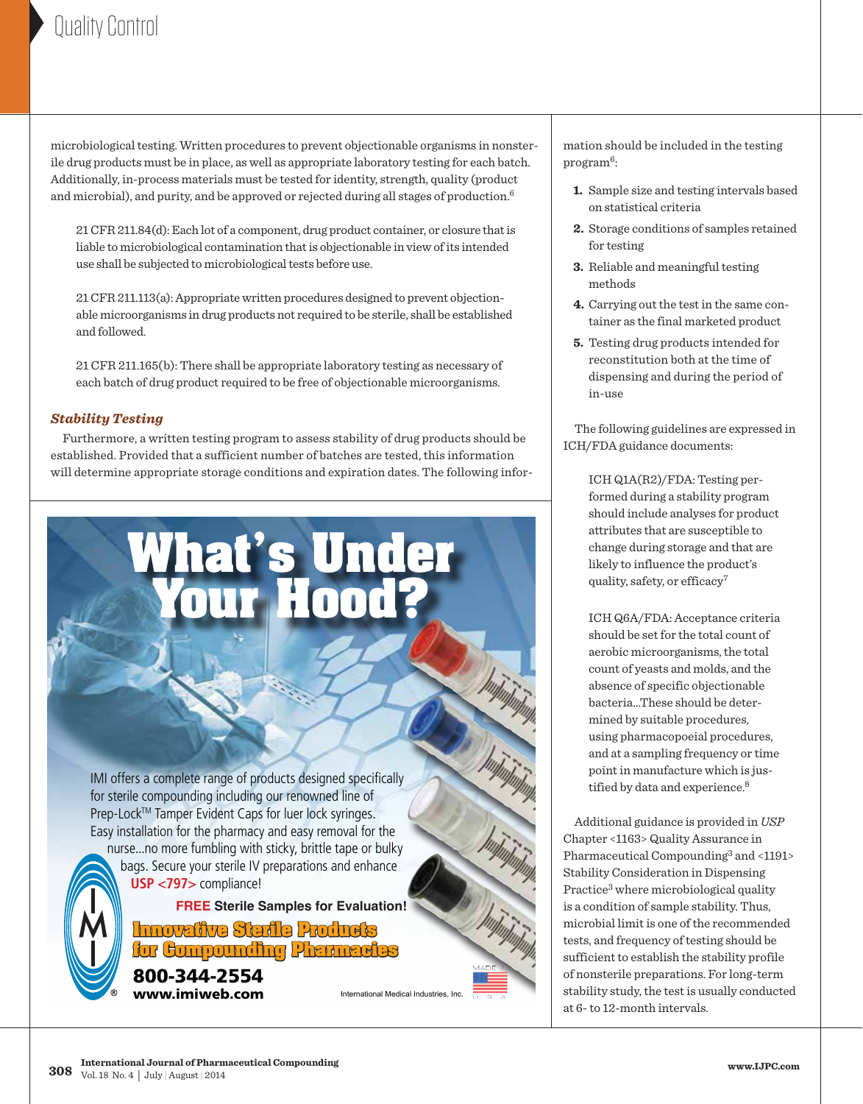microbiological testing. Written procedures to prevent objectionable organisms in nonsterile drug products must be in place, as well as appropriate laboratory testing for each batch. Additionally, in-process materials must be tested for identity, strength, quality (product and microbial), and purity, and be approved or rejected during all stages of production.6

21 CFR 211.84(d): Each lot of a component, drug product container, or closure that is liable to microbiological contamination that is objectionable in view of its intended use shall be subjected to microbiological tests before use.

21 CFR 211.113(a): Appropriate written procedures designed to prevent objectionable microorganisms in drug products not required to be sterile, shall be established and followed.

21 CFR 211.165(b): There shall be appropriate laboratory testing as necessary of each batch of drug product required to be free of objectionable microorganisms.

#### *Stability Testing*

 Furthermore, a written testing program to assess stability of drug products should be established. Provided that a sufficient number of batches are tested, this information will determine appropriate storage conditions and expiration dates. The following infor-

**Your Hood?**

**[What's Under](http://www.imiweb.com)**

IMI offers a complete range of products designed specifically for sterile compounding including our renowned line of Prep-Lock™ Tamper Evident Caps for luer lock syringes. Easy installation for the pharmacy and easy removal for the nurse...no more fumbling with sticky, brittle tape or bulky

 bags. Secure your sterile IV preparations and enhance **USP <797>** compliance!

**FREE Sterile Samples for Evaluation!**

Pharmaceutical Compounding 2014.indd 1 2/17/2014 11:24:49 AM

**Innovative Sterile Products for Compounding Pharmacies** 800-344-2554

www.imiweb.com

International Medical Industries, Inc.

mation should be included in the testing program<sup>6</sup>:

- **1.** Sample size and testing intervals based on statistical criteria
- **2.** Storage conditions of samples retained for testing
- **3.** Reliable and meaningful testing methods
- **4.** Carrying out the test in the same container as the final marketed product
- **5.** Testing drug products intended for reconstitution both at the time of dispensing and during the period of in-use

 The following guidelines are expressed in ICH/FDA guidance documents:

> ICH Q1A(R2)/FDA: Testing performed during a stability program should include analyses for product attributes that are susceptible to change during storage and that are likely to influence the product's quality, safety, or efficacy<sup>7</sup>

ICH Q6A/FDA: Acceptance criteria should be set for the total count of aerobic microorganisms, the total count of yeasts and molds, and the absence of specific objectionable bacteria…These should be determined by suitable procedures, using pharmacopoeial procedures, and at a sampling frequency or time point in manufacture which is justified by data and experience.<sup>8</sup>

 Additional guidance is provided in *USP* Chapter <1163> Quality Assurance in Pharmaceutical Compounding<sup>3</sup> and <1191> Stability Consideration in Dispensing Practice<sup>3</sup> where microbiological quality is a condition of sample stability. Thus, microbial limit is one of the recommended tests, and frequency of testing should be sufficient to establish the stability profile of nonsterile preparations. For long-term stability study, the test is usually conducted at 6- to 12-month intervals.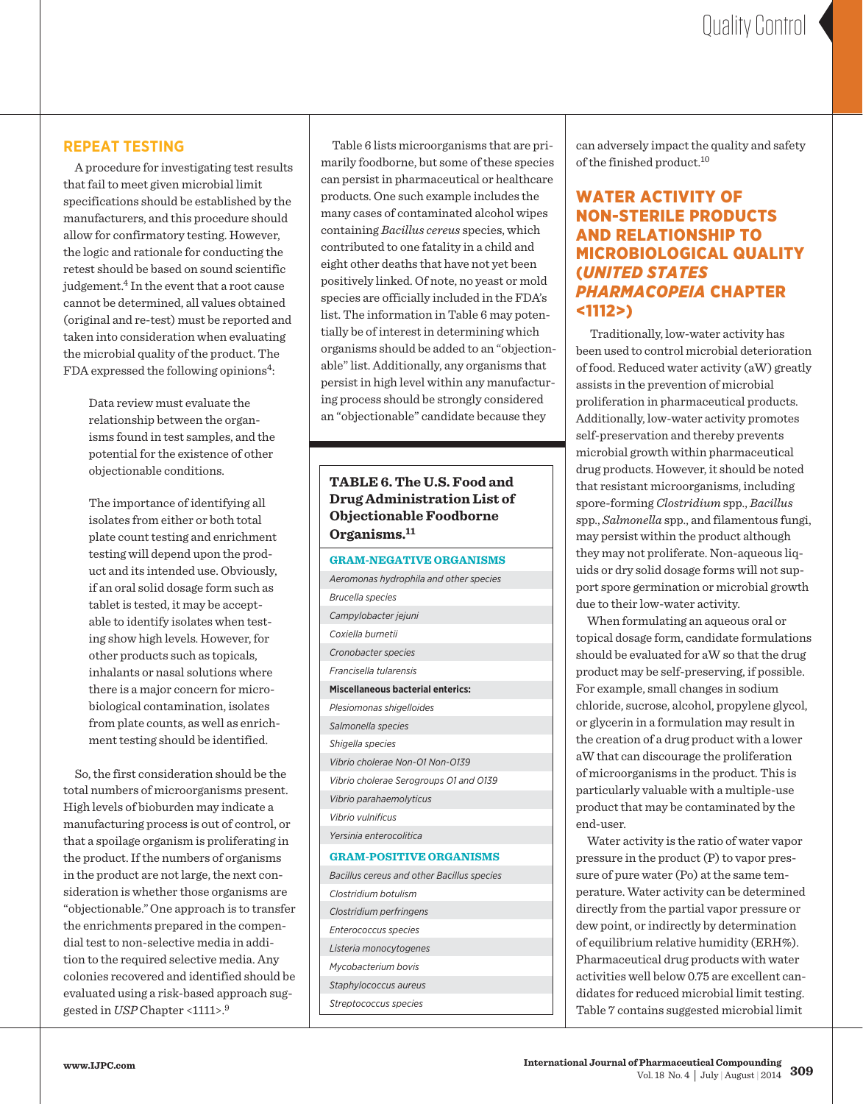#### **Repeat Testing**

 A procedure for investigating test results that fail to meet given microbial limit specifications should be established by the manufacturers, and this procedure should allow for confirmatory testing. However, the logic and rationale for conducting the retest should be based on sound scientific judgement.4 In the event that a root cause cannot be determined, all values obtained (original and re-test) must be reported and taken into consideration when evaluating the microbial quality of the product. The FDA expressed the following opinions<sup>4</sup>:

> Data review must evaluate the relationship between the organisms found in test samples, and the potential for the existence of other objectionable conditions.

The importance of identifying all isolates from either or both total plate count testing and enrichment testing will depend upon the product and its intended use. Obviously, if an oral solid dosage form such as tablet is tested, it may be acceptable to identify isolates when testing show high levels. However, for other products such as topicals, inhalants or nasal solutions where there is a major concern for microbiological contamination, isolates from plate counts, as well as enrichment testing should be identified.

 So, the first consideration should be the total numbers of microorganisms present. High levels of bioburden may indicate a manufacturing process is out of control, or that a spoilage organism is proliferating in the product. If the numbers of organisms in the product are not large, the next consideration is whether those organisms are "objectionable."One approach is to transfer the enrichments prepared in the compendial test to non-selective media in addition to the required selective media. Any colonies recovered and identified should be evaluated using a risk-based approach suggested in *USP* Chapter <1111>.9

 Table 6 lists microorganisms that are primarily foodborne, but some of these species can persist in pharmaceutical or healthcare products. One such example includes the many cases of contaminated alcohol wipes containing *Bacillus cereus* species, which contributed to one fatality in a child and eight other deaths that have not yet been positively linked. Of note, no yeast or mold species are officially included in the FDA's list. The information in Table 6 may potentially be of interest in determining which organisms should be added to an "objectionable" list. Additionally, any organisms that persist in high level within any manufacturing process should be strongly considered an "objectionable" candidate because they

**Table 6. The U.S. Food and Drug Administration List of Objectionable Foodborne Organisms.11**

#### **Gram-negative Organisms**

can adversely impact the quality and safety of the finished product.10

#### WATER ACTIVITY OF Non-Sterile Products and Relationship to Microbiological Quality (*United States Pharmacopeia* Chapter <1112>)

Traditionally, low-water activity has been used to control microbial deterioration of food. Reduced water activity (aW) greatly assists in the prevention of microbial proliferation in pharmaceutical products. Additionally, low-water activity promotes self-preservation and thereby prevents microbial growth within pharmaceutical drug products. However, it should be noted that resistant microorganisms, including spore-forming *Clostridium* spp., *Bacillus* spp., *Salmonella* spp., and filamentous fungi, may persist within the product although they may not proliferate. Non-aqueous liquids or dry solid dosage forms will not support spore germination or microbial growth due to their low-water activity.

 When formulating an aqueous oral or topical dosage form, candidate formulations should be evaluated for aW so that the drug product may be self-preserving, if possible. For example, small changes in sodium chloride, sucrose, alcohol, propylene glycol, or glycerin in a formulation may result in the creation of a drug product with a lower aW that can discourage the proliferation of microorganisms in the product. This is particularly valuable with a multiple-use product that may be contaminated by the end-user.

 Water activity is the ratio of water vapor pressure in the product (P) to vapor pressure of pure water (Po) at the same temperature. Water activity can be determined directly from the partial vapor pressure or dew point, or indirectly by determination of equilibrium relative humidity (ERH%). Pharmaceutical drug products with water activities well below 0.75 are excellent candidates for reduced microbial limit testing. Table 7 contains suggested microbial limit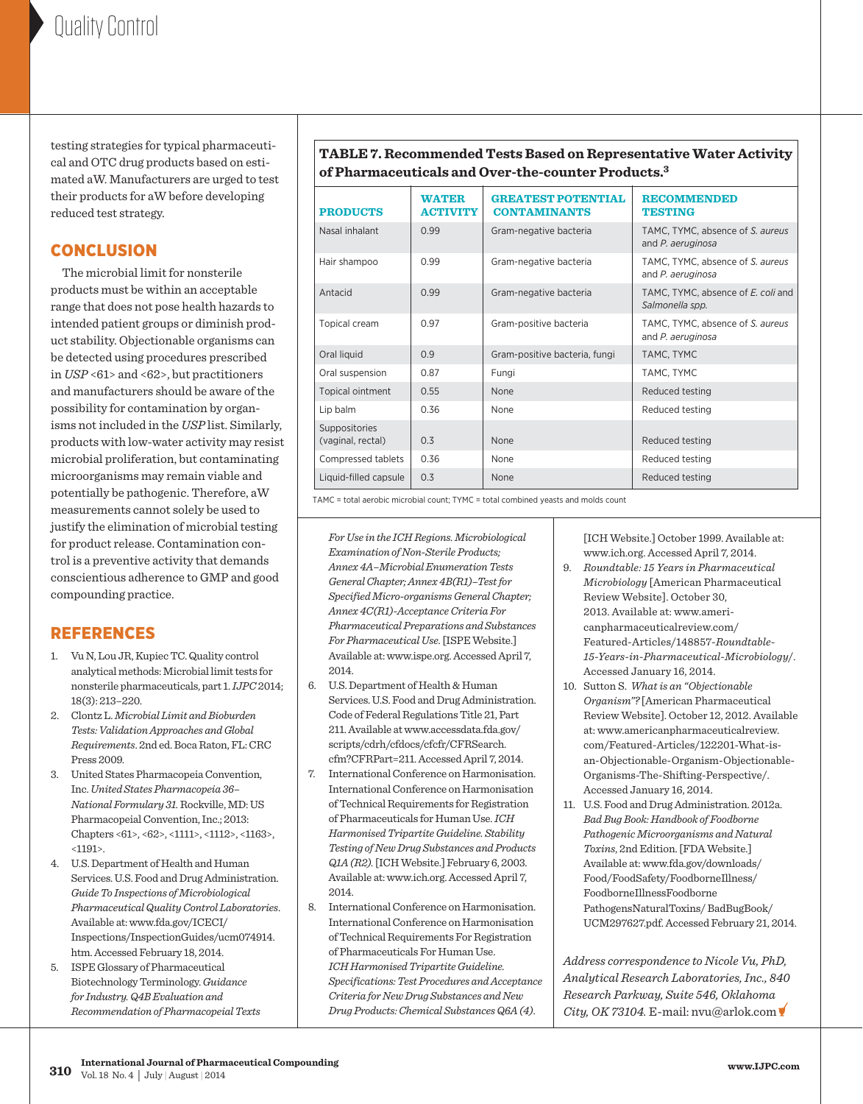testing strategies for typical pharmaceutical and OTC drug products based on estimated aW. Manufacturers are urged to test their products for aW before developing reduced test strategy.

#### **CONCLUSION**

 The microbial limit for nonsterile products must be within an acceptable range that does not pose health hazards to intended patient groups or diminish product stability. Objectionable organisms can be detected using procedures prescribed in *USP* <61> and <62>, but practitioners and manufacturers should be aware of the possibility for contamination by organisms not included in the *USP* list. Similarly, products with low-water activity may resist microbial proliferation, but contaminating microorganisms may remain viable and potentially be pathogenic. Therefore, aW measurements cannot solely be used to justify the elimination of microbial testing for product release. Contamination control is a preventive activity that demands conscientious adherence to GMP and good compounding practice.

#### **REFERENCES**

- 1. Vu N, Lou JR, Kupiec TC. Quality control analytical methods: Microbial limit tests for nonsterile pharmaceuticals, part 1. *IJPC* 2014; 18(3): 213–220.
- 2. Clontz L. *Microbial Limit and Bioburden Tests: Validation Approaches and Global Requirements*. 2nd ed. Boca Raton, FL: CRC Press 2009.
- 3. United States Pharmacopeia Convention, Inc. *United States Pharmacopeia 36– National Formulary 31.* Rockville, MD: US Pharmacopeial Convention, Inc.; 2013: Chapters <61>, <62>, <1111>, <1112>, <1163>,  $< 1191$
- 4. U.S. Department of Health and Human Services. U.S. Food and Drug Administration. *Guide To Inspections of Microbiological Pharmaceutical Quality Control Laboratories*. Available at: [www.fda.gov/ICECI/](http://www.fda.gov/ICECI/) Inspections/InspectionGuides/ucm074914. htm. Accessed February 18, 2014.
- 5. ISPE Glossary of Pharmaceutical Biotechnology Terminology. *Guidance for Industry. Q4B Evaluation and Recommendation of Pharmacopeial Texts*

**Table 7. Recommended Tests Based on Representative Water Activity of Pharmaceuticals and Over-the-counter Products.3**

| <b>PRODUCTS</b>                    | <b>WATER</b><br><b>ACTIVITY</b> | <b>GREATEST POTENTIAL</b><br><b>CONTAMINANTS</b> | <b>RECOMMENDED</b><br><b>TESTING</b>                  |
|------------------------------------|---------------------------------|--------------------------------------------------|-------------------------------------------------------|
| Nasal inhalant                     | 0.99                            | Gram-negative bacteria                           | TAMC, TYMC, absence of S. aureus<br>and P. aeruginosa |
| Hair shampoo                       | 0.99                            | Gram-negative bacteria                           | TAMC, TYMC, absence of S. aureus<br>and P. aeruginosa |
| Antacid                            | 0.99                            | Gram-negative bacteria                           | TAMC, TYMC, absence of E. coli and<br>Salmonella spp. |
| Topical cream                      | 0.97                            | Gram-positive bacteria                           | TAMC, TYMC, absence of S. aureus<br>and P. aeruginosa |
| Oral liquid                        | 0.9                             | Gram-positive bacteria, fungi                    | TAMC, TYMC                                            |
| Oral suspension                    | 0.87                            | Fungi                                            | TAMC, TYMC                                            |
| Topical ointment                   | 0.55                            | <b>None</b>                                      | Reduced testing                                       |
| Lip balm                           | 0.36                            | <b>None</b>                                      | Reduced testing                                       |
| Suppositories<br>(vaginal, rectal) | 0.3                             | None                                             | Reduced testing                                       |
| Compressed tablets                 | 0.36                            | <b>None</b>                                      | Reduced testing                                       |
| Liquid-filled capsule              | 0.3                             | <b>None</b>                                      | Reduced testing                                       |

TAMC = total aerobic microbial count; TYMC = total combined yeasts and molds count

*For Use in the ICH Regions. Microbiological Examination of Non-Sterile Products; Annex 4A–Microbial Enumeration Tests General Chapter; Annex 4B(R1)–Test for Specified Micro-organisms General Chapter; Annex 4C(R1)-Acceptance Criteria For Pharmaceutical Preparations and Substances For Pharmaceutical Use.* [ISPE Website.] Available at: [www.ispe.org. Ac](http://www.ispe.org)cessed April 7, 2014.

- 6. U.S. Department of Health & Human Services. U.S. Food and Drug Administration. Code of Federal Regulations Title 21, Part 211. Available at [www.accessdata.fda.gov/](http://www.accessdata.fda.gov/) scripts/cdrh/cfdocs/cfcfr/CFRSearch. cfm?CFRPart=211. Accessed April 7, 2014.
- 7. International Conference on Harmonisation. International Conference on Harmonisation of Technical Requirements for Registration of Pharmaceuticals for Human Use. *ICH Harmonised Tripartite Guideline. Stability Testing of New Drug Substances and Products Q1A (R2).* [ICH Website.] February 6, 2003. Available at: [www.ich.org. Ac](http://www.ich.org)cessed April 7, 2014.
- 8. International Conference on Harmonisation. International Conference on Harmonisation of Technical Requirements For Registration of Pharmaceuticals For Human Use. *ICH Harmonised Tripartite Guideline. Specifications: Test Procedures and Acceptance Criteria for New Drug Substances and New Drug Products: Chemical Substances Q6A (4)*.

[ICH Website.] October 1999. Available at: [www.ich.org. Ac](http://www.ich.org)cessed April 7, 2014.

- 9. *Roundtable: 15 Years in Pharmaceutical Microbiology* [American Pharmaceutical Review Website]. October 30, 2013. Available at: [www.am](http://www.ameri-canpharmaceuticalreview.com/)eri[canpharmaceuticalreview.com/](http://www.ameri-canpharmaceuticalreview.com/) Featured-Articles/148857-*Roundtable-15-Years-in-Pharmaceutical-Microbiology*/. Accessed January 16, 2014.
- 10. Sutton S. *What is an "Objectionable Organism"?* [American Pharmaceutical Review Website]. October 12, 2012. Available at: [www.americanpharmaceuticalreview.](http://www.americanpharmaceuticalreview) com/Featured-Articles/122201-What-isan-Objectionable-Organism-Objectionable-Organisms-The-Shifting-Perspective/. Accessed January 16, 2014.
- 11. U.S. Food and Drug Administration. 2012a. *Bad Bug Book: Handbook of Foodborne Pathogenic Microorganisms and Natural Toxins*, 2nd Edition. [FDA Website.] Available at: [www.fda.gov/downloads/](http://www.fda.gov/downloads/) Food/FoodSafety/FoodborneIllness/ FoodborneIllnessFoodborne PathogensNaturalToxins/ BadBugBook/ UCM297627.pdf. Accessed February 21, 2014.

*Address correspondence to Nicole Vu, PhD, Analytical Research Laboratories, Inc., 840 Research Parkway, Suite 546, Oklahoma City, OK 73104.* E-mail: [nvu@arlok.com](mailto:nvu@arlok.com)